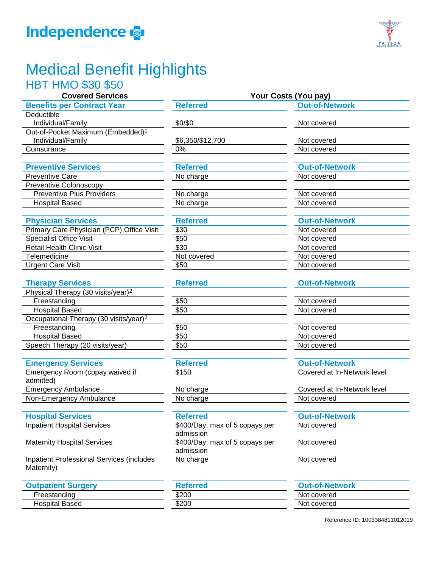



## Medical Benefit Highlights

|  | <b>HBT HMO \$30 \$50</b> |  |
|--|--------------------------|--|
|  |                          |  |

| <b>Covered Services</b>                            | Your Costs (You pay)                        |                             |  |
|----------------------------------------------------|---------------------------------------------|-----------------------------|--|
| <b>Benefits per Contract Year</b>                  | <b>Referred</b>                             | <b>Out-of-Network</b>       |  |
| Deductible                                         |                                             |                             |  |
| Individual/Family                                  | \$0/\$0                                     | Not covered                 |  |
| Out-of-Pocket Maximum (Embedded) <sup>1</sup>      |                                             |                             |  |
| Individual/Family                                  | \$6,350/\$12,700                            | Not covered                 |  |
| Coinsurance                                        | 0%                                          | Not covered                 |  |
|                                                    |                                             |                             |  |
| <b>Preventive Services</b>                         | <b>Referred</b>                             | <b>Out-of-Network</b>       |  |
| <b>Preventive Care</b>                             | No charge                                   | Not covered                 |  |
| <b>Preventive Colonoscopy</b>                      |                                             |                             |  |
| <b>Preventive Plus Providers</b>                   | No charge                                   | Not covered                 |  |
| <b>Hospital Based</b>                              | No charge                                   | Not covered                 |  |
| <b>Physician Services</b>                          | <b>Referred</b>                             | <b>Out-of-Network</b>       |  |
| Primary Care Physician (PCP) Office Visit          | \$30                                        | Not covered                 |  |
| <b>Specialist Office Visit</b>                     | \$50                                        | Not covered                 |  |
| Retail Health Clinic Visit                         | \$30                                        | Not covered                 |  |
| Telemedicine                                       | Not covered                                 | Not covered                 |  |
| <b>Urgent Care Visit</b>                           | \$50                                        | Not covered                 |  |
| <b>Therapy Services</b>                            | <b>Referred</b>                             | <b>Out-of-Network</b>       |  |
| Physical Therapy (30 visits/year) <sup>2</sup>     |                                             |                             |  |
| Freestanding                                       | \$50                                        | Not covered                 |  |
| <b>Hospital Based</b>                              | \$50                                        | Not covered                 |  |
| Occupational Therapy (30 visits/year) <sup>2</sup> |                                             |                             |  |
| Freestanding                                       | \$50                                        | Not covered                 |  |
| <b>Hospital Based</b>                              | \$50                                        | Not covered                 |  |
| Speech Therapy (20 visits/year)                    | \$50                                        | Not covered                 |  |
|                                                    |                                             |                             |  |
| <b>Emergency Services</b>                          | <b>Referred</b>                             | <b>Out-of-Network</b>       |  |
| Emergency Room (copay waived if<br>admitted)       | \$150                                       | Covered at In-Network level |  |
| <b>Emergency Ambulance</b>                         | No charge                                   | Covered at In-Network level |  |
| Non-Emergency Ambulance                            | No charge                                   | Not covered                 |  |
| <b>Hospital Services</b>                           | <b>Referred</b>                             | <b>Out-of-Network</b>       |  |
| <b>Inpatient Hospital Services</b>                 | \$400/Day; max of 5 copays per              | Not covered                 |  |
|                                                    | admission                                   |                             |  |
| <b>Maternity Hospital Services</b>                 | \$400/Day; max of 5 copays per<br>admission | Not covered                 |  |

Inpatient Professional Services (includes Maternity)

## **Outpatient Surgery Referred**

Freestanding \$200

Hospital Based \$200

No charge Not covered

| <b>Out-of-Network</b> |  |
|-----------------------|--|
| Not covered           |  |
| Not covered           |  |

Reference ID: 1003384811012019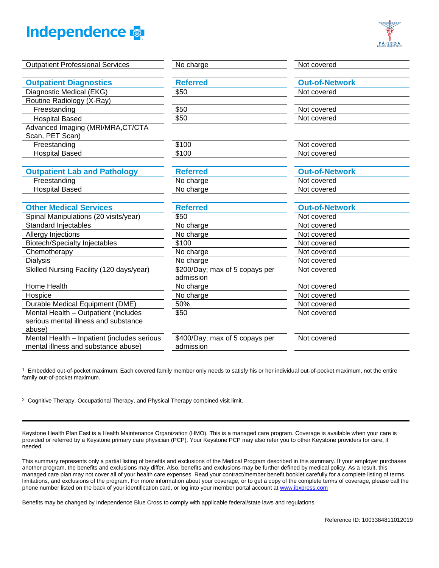



| <b>Outpatient Professional Services</b>     | No charge                                   | Not covered           |
|---------------------------------------------|---------------------------------------------|-----------------------|
|                                             |                                             |                       |
| <b>Outpatient Diagnostics</b>               | <b>Referred</b>                             | <b>Out-of-Network</b> |
| Diagnostic Medical (EKG)                    | \$50                                        | Not covered           |
| Routine Radiology (X-Ray)                   |                                             |                       |
| Freestanding                                | \$50                                        | Not covered           |
| <b>Hospital Based</b>                       | \$50                                        | Not covered           |
| Advanced Imaging (MRI/MRA, CT/CTA           |                                             |                       |
| Scan, PET Scan)                             |                                             |                       |
| Freestanding                                | \$100                                       | Not covered           |
| <b>Hospital Based</b>                       | \$100                                       | Not covered           |
|                                             |                                             |                       |
| <b>Outpatient Lab and Pathology</b>         | <b>Referred</b>                             | <b>Out-of-Network</b> |
| Freestanding                                | No charge                                   | Not covered           |
| <b>Hospital Based</b>                       | No charge                                   | Not covered           |
|                                             |                                             |                       |
| <b>Other Medical Services</b>               | <b>Referred</b>                             | <b>Out-of-Network</b> |
| Spinal Manipulations (20 visits/year)       | \$50                                        | Not covered           |
| <b>Standard Injectables</b>                 | No charge                                   | Not covered           |
| Allergy Injections                          | No charge                                   | Not covered           |
| <b>Biotech/Specialty Injectables</b>        | \$100                                       | Not covered           |
| Chemotherapy                                | No charge                                   | Not covered           |
| Dialysis                                    | No charge                                   | Not covered           |
| Skilled Nursing Facility (120 days/year)    | \$200/Day; max of 5 copays per<br>admission | Not covered           |
| Home Health                                 | No charge                                   | Not covered           |
| Hospice                                     | No charge                                   | Not covered           |
| Durable Medical Equipment (DME)             | 50%                                         | Not covered           |
| Mental Health - Outpatient (includes        | \$50                                        | Not covered           |
| serious mental illness and substance        |                                             |                       |
| abuse)                                      |                                             |                       |
| Mental Health - Inpatient (includes serious | \$400/Day; max of 5 copays per              | Not covered           |
| mental illness and substance abuse)         | admission                                   |                       |
|                                             |                                             |                       |

1 Embedded out-of-pocket maximum: Each covered family member only needs to satisfy his or her individual out-of-pocket maximum, not the entire family out-of-pocket maximum.

2 Cognitive Therapy, Occupational Therapy, and Physical Therapy combined visit limit.

Keystone Health Plan East is a Health Maintenance Organization (HMO). This is a managed care program. Coverage is available when your care is provided or referred by a Keystone primary care physician (PCP). Your Keystone PCP may also refer you to other Keystone providers for care, if needed.

This summary represents only a partial listing of benefits and exclusions of the Medical Program described in this summary. If your employer purchases another program, the benefits and exclusions may differ. Also, benefits and exclusions may be further defined by medical policy. As a result, this managed care plan may not cover all of your health care expenses. Read your contract/member benefit booklet carefully for a complete listing of terms, limitations, and exclusions of the program. For more information about your coverage, or to get a copy of the complete terms of coverage, please call the phone number listed on the back of your identification card, or log into your member portal account at [www.ibxpress.com](http://www.ibxpress.com/)

Benefits may be changed by Independence Blue Cross to comply with applicable federal/state laws and regulations.